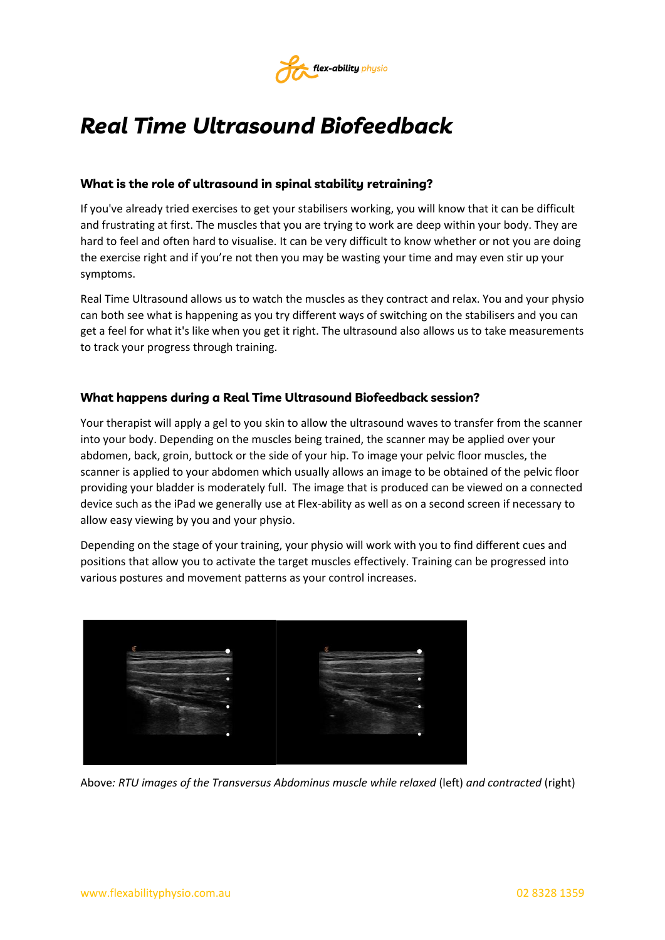

## *Real Time Ultrasound Biofeedback*

## **What is the role of ultrasound in spinal stability retraining?**

If you've already tried exercises to get your stabilisers working, you will know that it can be difficult and frustrating at first. The muscles that you are trying to work are deep within your body. They are hard to feel and often hard to visualise. It can be very difficult to know whether or not you are doing the exercise right and if you're not then you may be wasting your time and may even stir up your symptoms.

Real Time Ultrasound allows us to watch the muscles as they contract and relax. You and your physio can both see what is happening as you try different ways of switching on the stabilisers and you can get a feel for what it's like when you get it right. The ultrasound also allows us to take measurements to track your progress through training.

## **What happens during a Real Time Ultrasound Biofeedback session?**

Your therapist will apply a gel to you skin to allow the ultrasound waves to transfer from the scanner into your body. Depending on the muscles being trained, the scanner may be applied over your abdomen, back, groin, buttock or the side of your hip. To image your pelvic floor muscles, the scanner is applied to your abdomen which usually allows an image to be obtained of the pelvic floor providing your bladder is moderately full. The image that is produced can be viewed on a connected device such as the iPad we generally use at Flex-ability as well as on a second screen if necessary to allow easy viewing by you and your physio.

Depending on the stage of your training, your physio will work with you to find different cues and positions that allow you to activate the target muscles effectively. Training can be progressed into various postures and movement patterns as your control increases.



Above*: RTU images of the Transversus Abdominus muscle while relaxed* (left) *and contracted* (right)